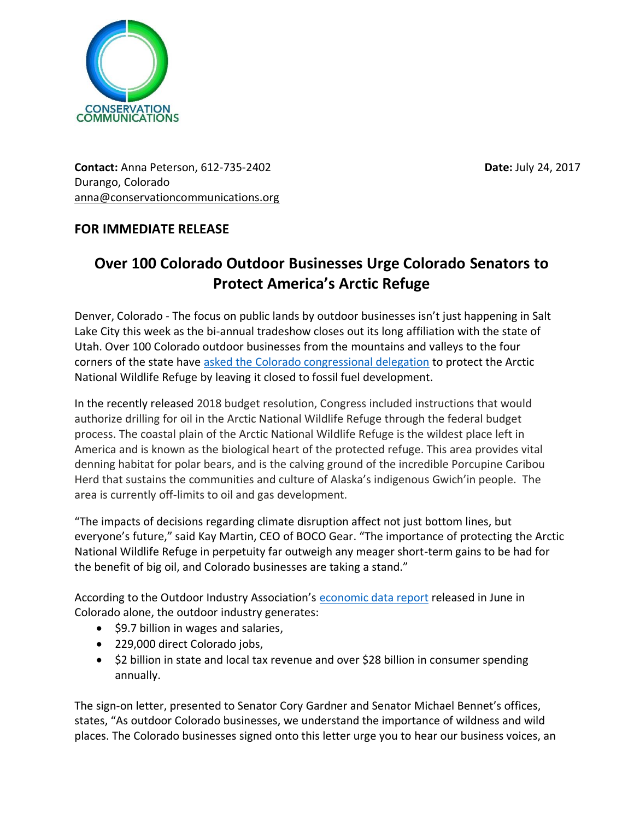

**Contact:** Anna Peterson, 612-735-2402 **Date:** July 24, 2017 Durango, Colorado [anna@conservationcommunications.org](mailto:anna@conservationcommunications.org)

## **FOR IMMEDIATE RELEASE**

## **Over 100 Colorado Outdoor Businesses Urge Colorado Senators to Protect America's Arctic Refuge**

Denver, Colorado - The focus on public lands by outdoor businesses isn't just happening in Salt Lake City this week as the bi-annual tradeshow closes out its long affiliation with the state of Utah. Over 100 Colorado outdoor businesses from the mountains and valleys to the four corners of the state have asked [the Colorado congressional delegation](https://6329740-799114535315656400.preview.editmysite.com/uploads/6/3/2/9/6329740/colorado_business_arctic_natl_wildlife_refuge_letter_to_colorado_senators_final.pdf) to protect the Arctic National Wildlife Refuge by leaving it closed to fossil fuel development.

In the recently released 2018 budget resolution, Congress included instructions that would authorize drilling for oil in the Arctic National Wildlife Refuge through the federal budget process. The coastal plain of the Arctic National Wildlife Refuge is the wildest place left in America and is known as the biological heart of the protected refuge. This area provides vital denning habitat for polar bears, and is the calving ground of the incredible Porcupine Caribou Herd that sustains the communities and culture of Alaska's indigenous Gwich'in people. The area is currently off-limits to oil and gas development.

"The impacts of decisions regarding climate disruption affect not just bottom lines, but everyone's future," said Kay Martin, CEO of BOCO Gear. "The importance of protecting the Arctic National Wildlife Refuge in perpetuity far outweigh any meager short-term gains to be had for the benefit of big oil, and Colorado businesses are taking a stand."

According to the Outdoor Industry Association's [economic data report](https://outdoorindustry.org/state/colorado/) released in June in Colorado alone, the outdoor industry generates:

- \$9.7 billion in wages and salaries,
- 229,000 direct Colorado jobs,
- \$2 billion in state and local tax revenue and over \$28 billion in consumer spending annually.

The sign-on letter, presented to Senator Cory Gardner and Senator Michael Bennet's offices, states, "As outdoor Colorado businesses, we understand the importance of wildness and wild places. The Colorado businesses signed onto this letter urge you to hear our business voices, an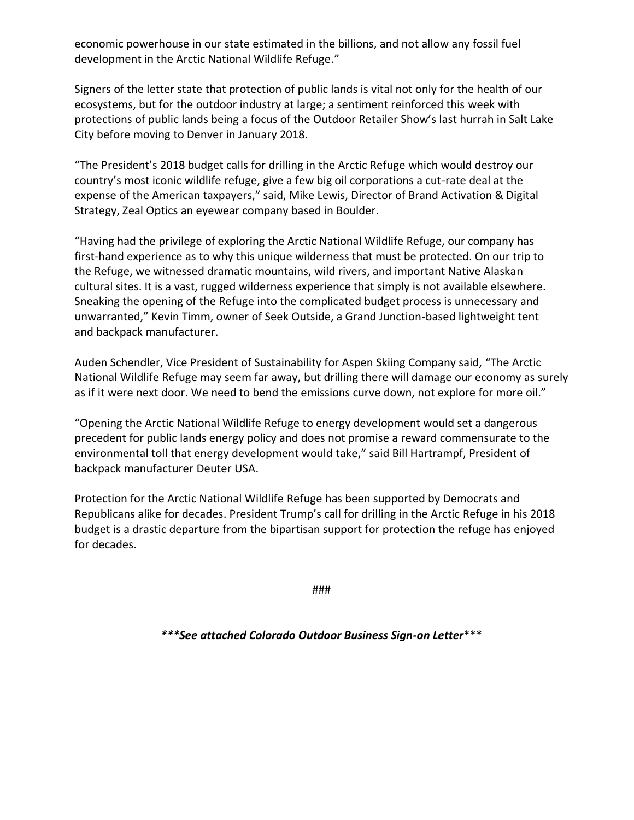economic powerhouse in our state estimated in the billions, and not allow any fossil fuel development in the Arctic National Wildlife Refuge."

Signers of the letter state that protection of public lands is vital not only for the health of our ecosystems, but for the outdoor industry at large; a sentiment reinforced this week with protections of public lands being a focus of the Outdoor Retailer Show's last hurrah in Salt Lake City before moving to Denver in January 2018.

"The President's 2018 budget calls for drilling in the Arctic Refuge which would destroy our country's most iconic wildlife refuge, give a few big oil corporations a cut-rate deal at the expense of the American taxpayers," said, Mike Lewis, Director of Brand Activation & Digital Strategy, Zeal Optics an eyewear company based in Boulder.

"Having had the privilege of exploring the Arctic National Wildlife Refuge, our company has first-hand experience as to why this unique wilderness that must be protected. On our trip to the Refuge, we witnessed dramatic mountains, wild rivers, and important Native Alaskan cultural sites. It is a vast, rugged wilderness experience that simply is not available elsewhere. Sneaking the opening of the Refuge into the complicated budget process is unnecessary and unwarranted," Kevin Timm, owner of Seek Outside, a Grand Junction-based lightweight tent and backpack manufacturer.

Auden Schendler, Vice President of Sustainability for Aspen Skiing Company said, "The Arctic National Wildlife Refuge may seem far away, but drilling there will damage our economy as surely as if it were next door. We need to bend the emissions curve down, not explore for more oil."

"Opening the Arctic National Wildlife Refuge to energy development would set a dangerous precedent for public lands energy policy and does not promise a reward commensurate to the environmental toll that energy development would take," said Bill Hartrampf, President of backpack manufacturer Deuter USA.

Protection for the Arctic National Wildlife Refuge has been supported by Democrats and Republicans alike for decades. President Trump's call for drilling in the Arctic Refuge in his 2018 budget is a drastic departure from the bipartisan support for protection the refuge has enjoyed for decades.

###

*\*\*\*See attached Colorado Outdoor Business Sign-on Letter*\*\*\*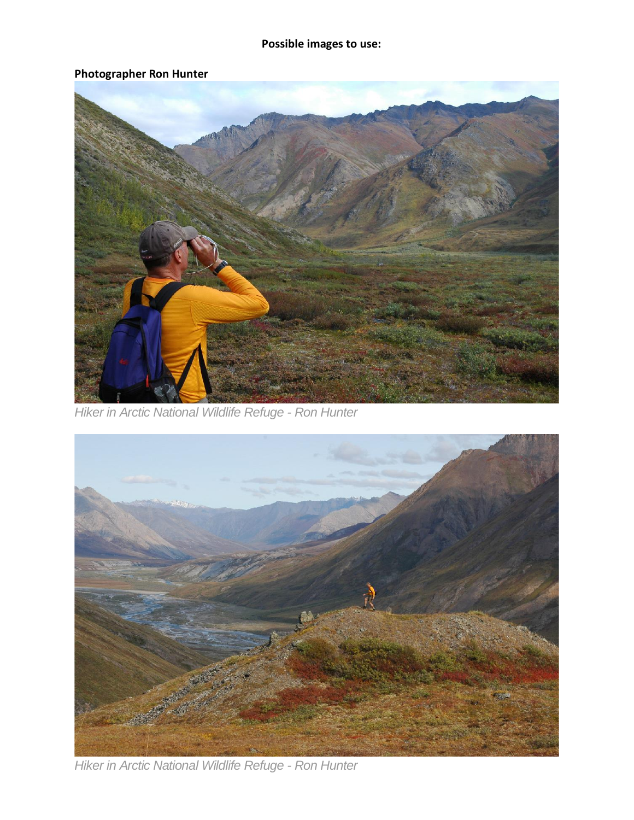## **Photographer Ron Hunter**



*Hiker in Arctic National Wildlife Refuge - Ron Hunter*



*Hiker in Arctic National Wildlife Refuge - Ron Hunter*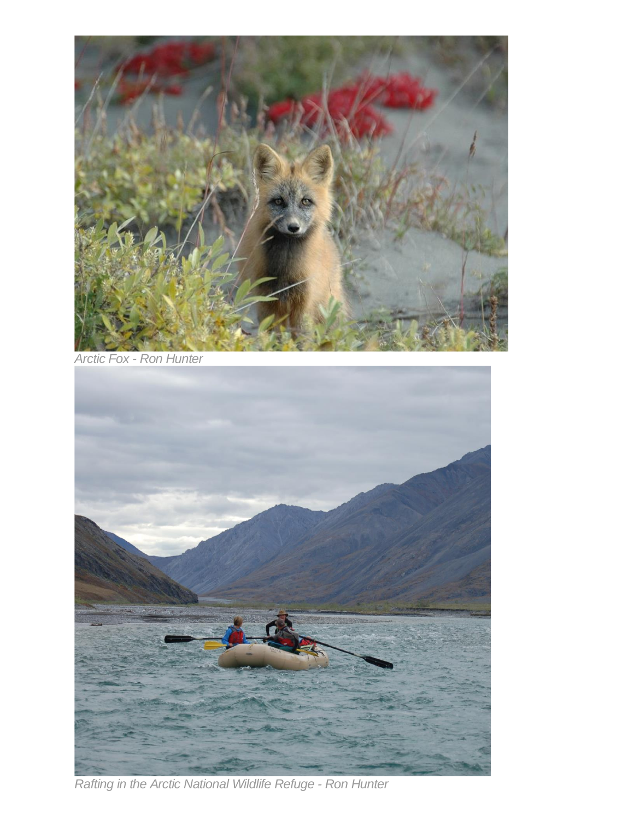

*Arctic Fox - Ron Hunter*



*Rafting in the Arctic National Wildlife Refuge - Ron Hunter*